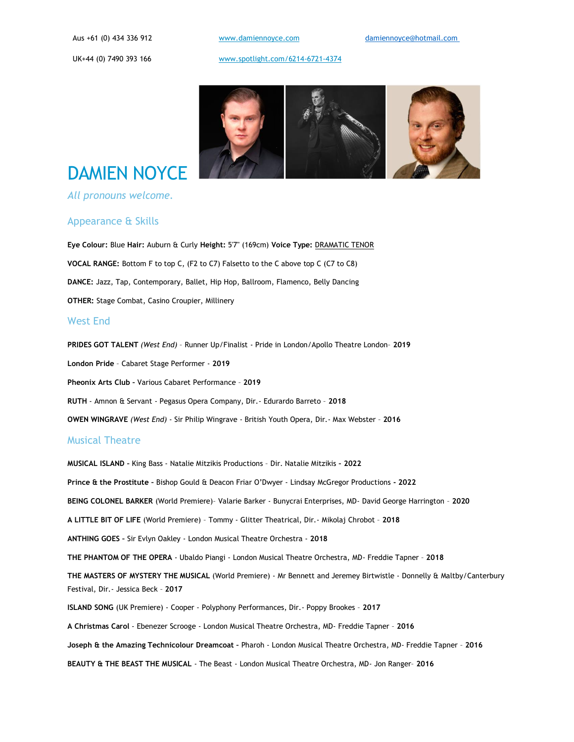[www.damiennoyce.com](http://www.damiennoyce.com/) 

[www.spotlight.com/6214-6721-4374](https://www.spotlight.com/6214-6721-4374)



# DAMIEN NOYCE

### *All pronouns welcome.*

## Appearance & Skills

**Eye Colour:** Blue **Hair:** Auburn & Curly **Height:** 5'7" (169cm) **Voice Type:** DRAMATIC TENOR **VOCAL RANGE:** Bottom F to top C, (F2 to C7) Falsetto to the C above top C (C7 to C8) **DANCE:** Jazz, Tap, Contemporary, Ballet, Hip Hop, Ballroom, Flamenco, Belly Dancing **OTHER:** Stage Combat, Casino Croupier, Millinery

## West End

**PRIDES GOT TALENT** *(West End)* – Runner Up/Finalist - Pride in London/Apollo Theatre London– **2019 London Pride** – Cabaret Stage Performer - **2019 Pheonix Arts Club –** Various Cabaret Performance – **2019 RUTH** - Amnon & Servant - Pegasus Opera Company, Dir.- Edurardo Barreto – **2018 OWEN WINGRAVE** *(West End)* - Sir Philip Wingrave - British Youth Opera, Dir.- Max Webster – **2016**

### Musical Theatre

**MUSICAL ISLAND –** King Bass - Natalie Mitzikis Productions – Dir. Natalie Mitzikis **– 2022 Prince & the Prostitute –** Bishop Gould & Deacon Friar O'Dwyer - Lindsay McGregor Productions **- 2022 BEING COLONEL BARKER** (World Premiere)– Valarie Barker - Bunycrai Enterprises, MD- David George Harrington – **2020 A LITTLE BIT OF LIFE** (World Premiere) – Tommy - Glitter Theatrical, Dir.- Mikolaj Chrobot – **2018 ANTHING GOES –** Sir Evlyn Oakley - London Musical Theatre Orchestra - **2018 THE PHANTOM OF THE OPERA** - Ubaldo Piangi - London Musical Theatre Orchestra, MD- Freddie Tapner – **2018 THE MASTERS OF MYSTERY THE MUSICAL** (World Premiere) - Mr Bennett and Jeremey Birtwistle - Donnelly & Maltby/Canterbury Festival, Dir.- Jessica Beck – **2017 ISLAND SONG** (UK Premiere) - Cooper - Polyphony Performances, Dir.- Poppy Brookes – **2017 A Christmas Carol** - Ebenezer Scrooge - London Musical Theatre Orchestra, MD- Freddie Tapner – **2016 Joseph & the Amazing Technicolour Dreamcoat –** Pharoh - London Musical Theatre Orchestra, MD- Freddie Tapner – **2016 BEAUTY & THE BEAST THE MUSICAL** - The Beast - London Musical Theatre Orchestra, MD- Jon Ranger– **2016**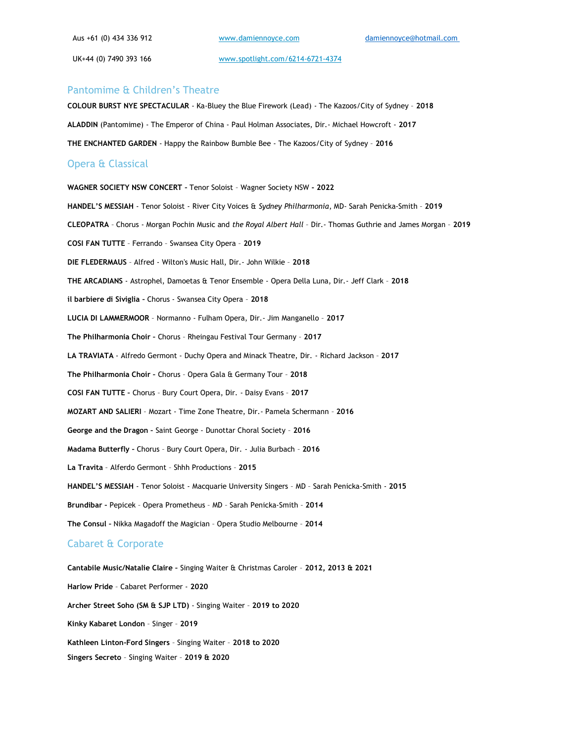Aus +61 (0) 434 336 912 UK+44 (0) 7490 393 166

[www.damiennoyce.com](http://www.damiennoyce.com/) 

[www.spotlight.com/6214-6721-4374](https://www.spotlight.com/6214-6721-4374)

#### Pantomime & Children's Theatre

**COLOUR BURST NYE SPECTACULAR** - Ka-Bluey the Blue Firework (Lead) - The Kazoos/City of Sydney – **2018 ALADDIN** (Pantomime) - The Emperor of China - Paul Holman Associates, Dir.- Michael Howcroft - **2017 THE ENCHANTED GARDEN** - Happy the Rainbow Bumble Bee - The Kazoos/City of Sydney – **2016**

## Opera & Classical

**WAGNER SOCIETY NSW CONCERT –** Tenor Soloist – Wagner Society NSW **- 2022 HANDEL'S MESSIAH** - Tenor Soloist - River City Voices & *Sydney Philharmonia*, MD- Sarah Penicka-Smith – **2019 CLEOPATRA** – Chorus - Morgan Pochin Music and *the Royal Albert Hall* – Dir.- Thomas Guthrie and James Morgan – **2019 COSI FAN TUTTE** – Ferrando – Swansea City Opera – **2019 DIE FLEDERMAUS** – Alfred - Wilton's Music Hall, Dir.- John Wilkie – **2018 THE ARCADIANS** - Astrophel, Damoetas & Tenor Ensemble - Opera Della Luna, Dir.- Jeff Clark – **2018 il barbiere di Siviglia –** Chorus - Swansea City Opera – **2018 LUCIA DI LAMMERMOOR** – Normanno - Fulham Opera, Dir.- Jim Manganello – **2017 The Philharmonia Choir –** Chorus – Rheingau Festival Tour Germany – **2017 LA TRAVIATA** - Alfredo Germont - Duchy Opera and Minack Theatre, Dir. - Richard Jackson – **2017 The Philharmonia Choir –** Chorus – Opera Gala & Germany Tour – **2018 COSI FAN TUTTE –** Chorus – Bury Court Opera, Dir. - Daisy Evans – **2017 MOZART AND SALIERI** – Mozart - Time Zone Theatre, Dir.- Pamela Schermann – **2016 George and the Dragon –** Saint George - Dunottar Choral Society – **2016 Madama Butterfly –** Chorus – Bury Court Opera, Dir. - Julia Burbach – **2016 La Travita** – Alferdo Germont – Shhh Productions – **2015 HANDEL'S MESSIAH** - Tenor Soloist - Macquarie University Singers – MD – Sarah Penicka-Smith - **2015 Brundibar –** Pepicek – Opera Prometheus – MD – Sarah Penicka-Smith – **2014 The Consul –** Nikka Magadoff the Magician – Opera Studio Melbourne – **2014** Cabaret & Corporate **Cantabile Music/Natalie Claire –** Singing Waiter & Christmas Caroler – **2012, 2013 & 2021**

**Harlow Pride** – Cabaret Performer - **2020 Archer Street Soho (SM & SJP LTD)** - Singing Waiter – **2019 to 2020 Kinky Kabaret London** – Singer – **2019 Kathleen Linton-Ford Singers** – Singing Waiter – **2018 to 2020 Singers Secreto** – Singing Waiter – **2019 & 2020**